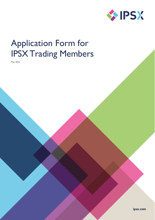

# Application Form for IPSX Trading Members

May 2022

ipsx.com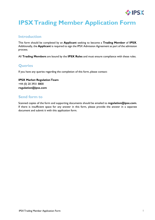

## **IPSXTrading Member Application Form**

### **Introduction**

This form should be completed by an **Applicant** seeking to become a **Trading Member** of **IPSX**. Additionally, the **Applicant** is required to sign the IPSX Admission Agreement as part of the admission process.

All **Trading Members** are bound by the **IPSX Rules** and must ensure compliance with these rules.

### **Queries**

If you have any queries regarding the completion of this form, please contact:

**IPSX Market RegulationTeam** +44 (0) 20 3931 8800 **[r](mailto:regulation@ipsx.com)[egulation@ipsx.com](mailto:egulation@ipsx.com)**

### **Send form to**

Scanned copies of the form and supporting documents should be emailed to **[regulation@ipsx.com](mailto:regulation@ipsx.com)**. If there is insufficient space for any answer in this form, please provide the answer in a separate document and submit it with this application form.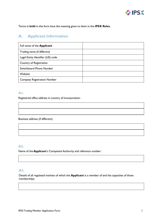

Terms in **bold** in this form have the meaning given to them in the **IPSX Rules.**

### **A. Applicant information**

| Full name of the Applicant         |  |
|------------------------------------|--|
| Trading name (if different)        |  |
| Legal Entity Identifier (LEI) code |  |
| Country of Registration            |  |
| Switchboard Phone Number           |  |
| Website                            |  |
| <b>Company Registration Number</b> |  |

### **A1.**

Registered office address in country of incorporation:

Business address (if different):

### **A2.**

Name of the **Applicant**'s Competent Authority and reference number:

### **A3.**

Details of all regulated markets of which the **Applicant** is a member of and the capacities of those memberships: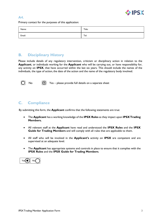

### **A4.**

Primary contact for the purposes of this application:

| Name:  | Title: |
|--------|--------|
| Email: | Tel:   |

### **B. Disciplinary History**

Please include details of any regulatory intervention, criticism or disciplinary action in relation to the **Applicant**, or individuals working for the **Applicant** who will be carrying out, or have responsibility for, any activity on **IPSX**, that have occurred within the last six years. This should include the names of the individuals, the type of action, the date of the action and the name of the regulatory body involved.



No  $\bigcirc$  Yes – please provide full details on a separate sheet

### **C. Compliance**

By submitting this form, the **Applicant** confirms that the following statements are true:

- The **Applicant** has a working knowledge of the **IPSX Rules** as they impact upon **IPSXTrading Members.**
- All relevant staff at the **Applicant** have read and understood the **IPSX Rules** and the **IPSX Guide for Trading Members** and will comply with all rules that are applicable to them.
- All staff who will be involved in the **Applicant's** activity on **IPSX** are competent and are supervised at an adequate level.
- The **Applicant** has appropriate systems and controls in place to ensure that it complies with the **IPSX Rules** and the **IPSX Guide for Trading Members**.

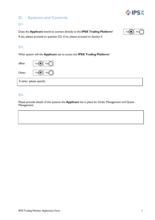### **IPSX**

### **D. Systems and Controls**

### **D1.**

Does the **Applicant** intend to connect directly to the **IPSX Trading Platform**? If yes, please proceed to question D2. If no, please proceed to Section E.



### **D2.**

What system will the **Applicant** use to access the **IPSX Trading Platform**?

| cBlue | Yes(<br>No                |
|-------|---------------------------|
| Other | Yes(<br>No                |
|       | If other, please specify: |

### **D3.**

Please provide details of the systems the **Applicant** has in place for Order Management and Quote Management: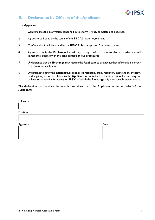

### **E. Declaration by Officers of the Applicant**

#### The **Applicant**:

- 1. Confirms that the information contained in this form is true, complete and accurate.
- 2. Agrees to be bound by the terms of the IPSX Admission Agreement.
- 3. Confirms that it will be bound by the **IPSX Rules**, as updated from time to time.
- 4. Agrees to notify the **Exchange** immediately of any conflict of interest that may arise and will immediately address with the conflict based on our procedures.
- 5. Understands that the **Exchange** may require the **Applicant** to provide further information in order to process our application.
- 6. Undertakes to notify the **Exchange**, as soon as is practicable, of any regulatory intervention, criticism, or disciplinary action in relation to the **Applicant** or individuals of the firm that will be carrying out or have responsibility for activity on **IPSX**, of which the **Exchange** might reasonably expect notice.

This declaration must be signed by an authorised signatory of the **Applicant** for and on behalf of the **Applicant**:

#### Full name:

Position:

| Signature: | Date: |  |
|------------|-------|--|
|            |       |  |
|            |       |  |
|            |       |  |
|            |       |  |